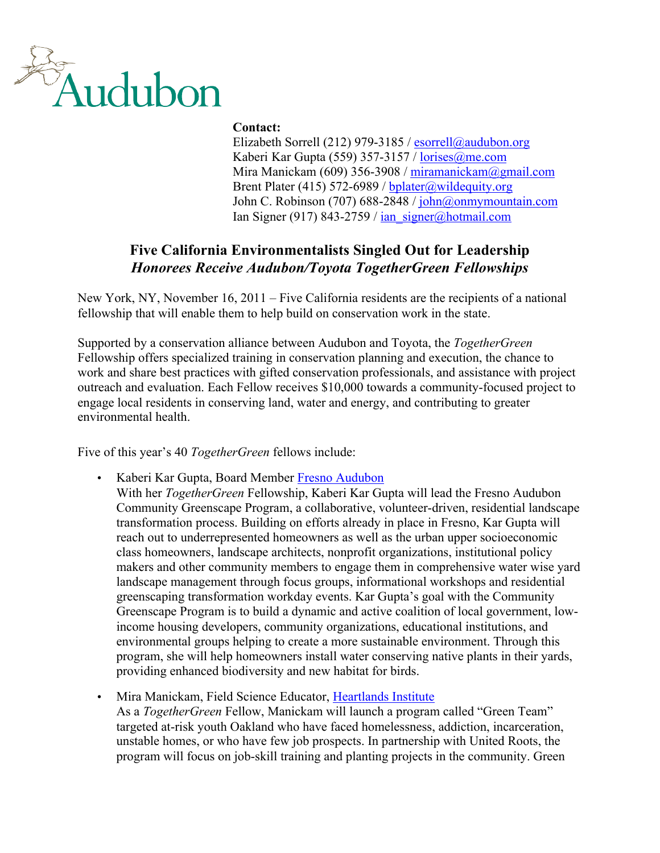

# **Contact:**

Elizabeth Sorrell (212) 979-3185 / esorrell@audubon.org Kaberi Kar Gupta (559) 357-3157 / lorises@me.com Mira Manickam (609) 356-3908 / miramanickam@gmail.com Brent Plater (415) 572-6989 / bplater@wildequity.org John C. Robinson (707) 688-2848 / john@onmymountain.com Ian Signer (917) 843-2759 /  $\frac{\tan \text{signer}(\omega)$  hotmail.com

# **Five California Environmentalists Singled Out for Leadership** *Honorees Receive Audubon/Toyota TogetherGreen Fellowships*

New York, NY, November 16, 2011 – Five California residents are the recipients of a national fellowship that will enable them to help build on conservation work in the state.

Supported by a conservation alliance between Audubon and Toyota, the *TogetherGreen*  Fellowship offers specialized training in conservation planning and execution, the chance to work and share best practices with gifted conservation professionals, and assistance with project outreach and evaluation. Each Fellow receives \$10,000 towards a community-focused project to engage local residents in conserving land, water and energy, and contributing to greater environmental health.

Five of this year's 40 *TogetherGreen* fellows include:

- Kaberi Kar Gupta, Board Member Fresno Audubon With her *TogetherGreen* Fellowship, Kaberi Kar Gupta will lead the Fresno Audubon Community Greenscape Program, a collaborative, volunteer-driven, residential landscape transformation process. Building on efforts already in place in Fresno, Kar Gupta will reach out to underrepresented homeowners as well as the urban upper socioeconomic class homeowners, landscape architects, nonprofit organizations, institutional policy makers and other community members to engage them in comprehensive water wise yard landscape management through focus groups, informational workshops and residential greenscaping transformation workday events. Kar Gupta's goal with the Community Greenscape Program is to build a dynamic and active coalition of local government, lowincome housing developers, community organizations, educational institutions, and environmental groups helping to create a more sustainable environment. Through this program, she will help homeowners install water conserving native plants in their yards, providing enhanced biodiversity and new habitat for birds.
- Mira Manickam, Field Science Educator, Heartlands Institute As a *TogetherGreen* Fellow, Manickam will launch a program called "Green Team" targeted at-risk youth Oakland who have faced homelessness, addiction, incarceration, unstable homes, or who have few job prospects. In partnership with United Roots, the program will focus on job-skill training and planting projects in the community. Green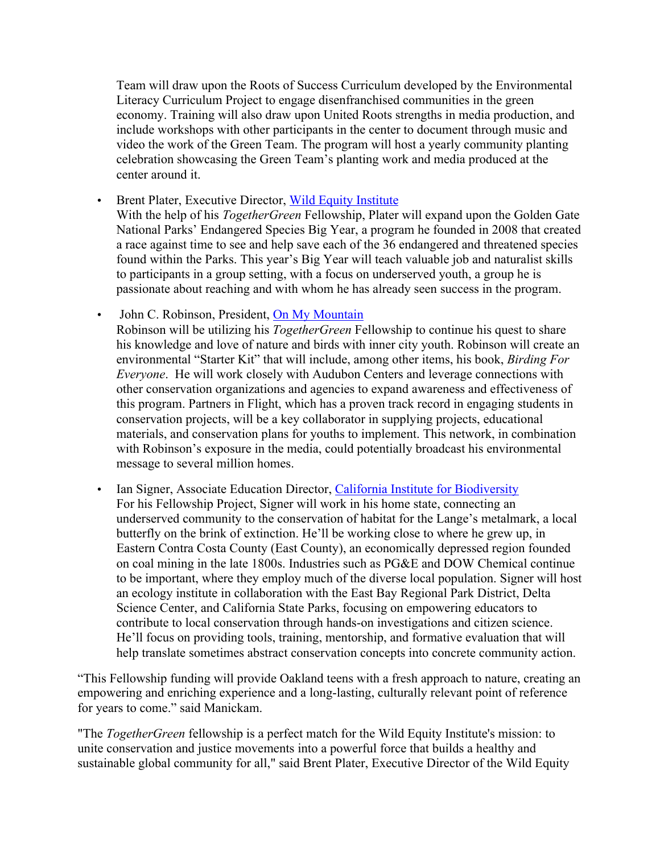Team will draw upon the Roots of Success Curriculum developed by the Environmental Literacy Curriculum Project to engage disenfranchised communities in the green economy. Training will also draw upon United Roots strengths in media production, and include workshops with other participants in the center to document through music and video the work of the Green Team. The program will host a yearly community planting celebration showcasing the Green Team's planting work and media produced at the center around it.

• Brent Plater, Executive Director, Wild Equity Institute With the help of his *TogetherGreen* Fellowship, Plater will expand upon the Golden Gate National Parks' Endangered Species Big Year, a program he founded in 2008 that created a race against time to see and help save each of the 36 endangered and threatened species found within the Parks. This year's Big Year will teach valuable job and naturalist skills to participants in a group setting, with a focus on underserved youth, a group he is passionate about reaching and with whom he has already seen success in the program.

• John C. Robinson, President, On My Mountain Robinson will be utilizing his *TogetherGreen* Fellowship to continue his quest to share his knowledge and love of nature and birds with inner city youth. Robinson will create an environmental "Starter Kit" that will include, among other items, his book, *Birding For Everyone*. He will work closely with Audubon Centers and leverage connections with other conservation organizations and agencies to expand awareness and effectiveness of this program. Partners in Flight, which has a proven track record in engaging students in conservation projects, will be a key collaborator in supplying projects, educational materials, and conservation plans for youths to implement. This network, in combination with Robinson's exposure in the media, could potentially broadcast his environmental message to several million homes.

• Ian Signer, Associate Education Director, California Institute for Biodiversity For his Fellowship Project, Signer will work in his home state, connecting an underserved community to the conservation of habitat for the Lange's metalmark, a local butterfly on the brink of extinction. He'll be working close to where he grew up, in Eastern Contra Costa County (East County), an economically depressed region founded on coal mining in the late 1800s. Industries such as PG&E and DOW Chemical continue to be important, where they employ much of the diverse local population. Signer will host an ecology institute in collaboration with the East Bay Regional Park District, Delta Science Center, and California State Parks, focusing on empowering educators to contribute to local conservation through hands-on investigations and citizen science. He'll focus on providing tools, training, mentorship, and formative evaluation that will help translate sometimes abstract conservation concepts into concrete community action.

"This Fellowship funding will provide Oakland teens with a fresh approach to nature, creating an empowering and enriching experience and a long-lasting, culturally relevant point of reference for years to come." said Manickam.

"The *TogetherGreen* fellowship is a perfect match for the Wild Equity Institute's mission: to unite conservation and justice movements into a powerful force that builds a healthy and sustainable global community for all," said Brent Plater, Executive Director of the Wild Equity